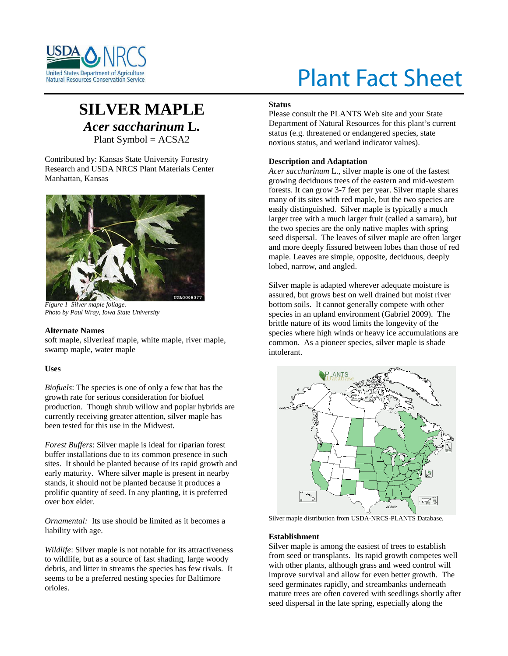

# Plant Fact Sheet

# **SILVER MAPLE** *Acer saccharinum* **L.** Plant Symbol = ACSA2

Contributed by: Kansas State University Forestry Research and USDA NRCS Plant Materials Center Manhattan, Kansas



*Figure 1 Silver maple foliage. Photo by Paul Wray, Iowa State University*

## **Alternate Names**

soft maple, silverleaf maple, white maple, river maple, swamp maple, water maple

# **Uses**

*Biofuels*: The species is one of only a few that has the growth rate for serious consideration for biofuel production. Though shrub willow and poplar hybrids are currently receiving greater attention, silver maple has been tested for this use in the Midwest.

*Forest Buffers*: Silver maple is ideal for riparian forest buffer installations due to its common presence in such sites. It should be planted because of its rapid growth and early maturity. Where silver maple is present in nearby stands, it should not be planted because it produces a prolific quantity of seed. In any planting, it is preferred over box elder.

*Ornamental:* Its use should be limited as it becomes a liability with age.

*Wildlife*: Silver maple is not notable for its attractiveness to wildlife, but as a source of fast shading, large woody debris, and litter in streams the species has few rivals. It seems to be a preferred nesting species for Baltimore orioles.

## **Status**

Please consult the PLANTS Web site and your State Department of Natural Resources for this plant's current status (e.g. threatened or endangered species, state noxious status, and wetland indicator values).

# **Description and Adaptation**

*Acer saccharinum* L., silver maple is one of the fastest growing deciduous trees of the eastern and mid-western forests. It can grow 3-7 feet per year. Silver maple shares many of its sites with red maple, but the two species are easily distinguished. Silver maple is typically a much larger tree with a much larger fruit (called a samara), but the two species are the only native maples with spring seed dispersal. The leaves of silver maple are often larger and more deeply fissured between lobes than those of red maple. Leaves are simple, opposite, deciduous, deeply lobed, narrow, and angled.

Silver maple is adapted wherever adequate moisture is assured, but grows best on well drained but moist river bottom soils. It cannot generally compete with other species in an upland environment (Gabriel 2009). The brittle nature of its wood limits the longevity of the species where high winds or heavy ice accumulations are common. As a pioneer species, silver maple is shade intolerant.



Silver maple distribution from USDA-NRCS-PLANTS Database.

#### **Establishment**

Silver maple is among the easiest of trees to establish from seed or transplants. Its rapid growth competes well with other plants, although grass and weed control will improve survival and allow for even better growth. The seed germinates rapidly, and streambanks underneath mature trees are often covered with seedlings shortly after seed dispersal in the late spring, especially along the